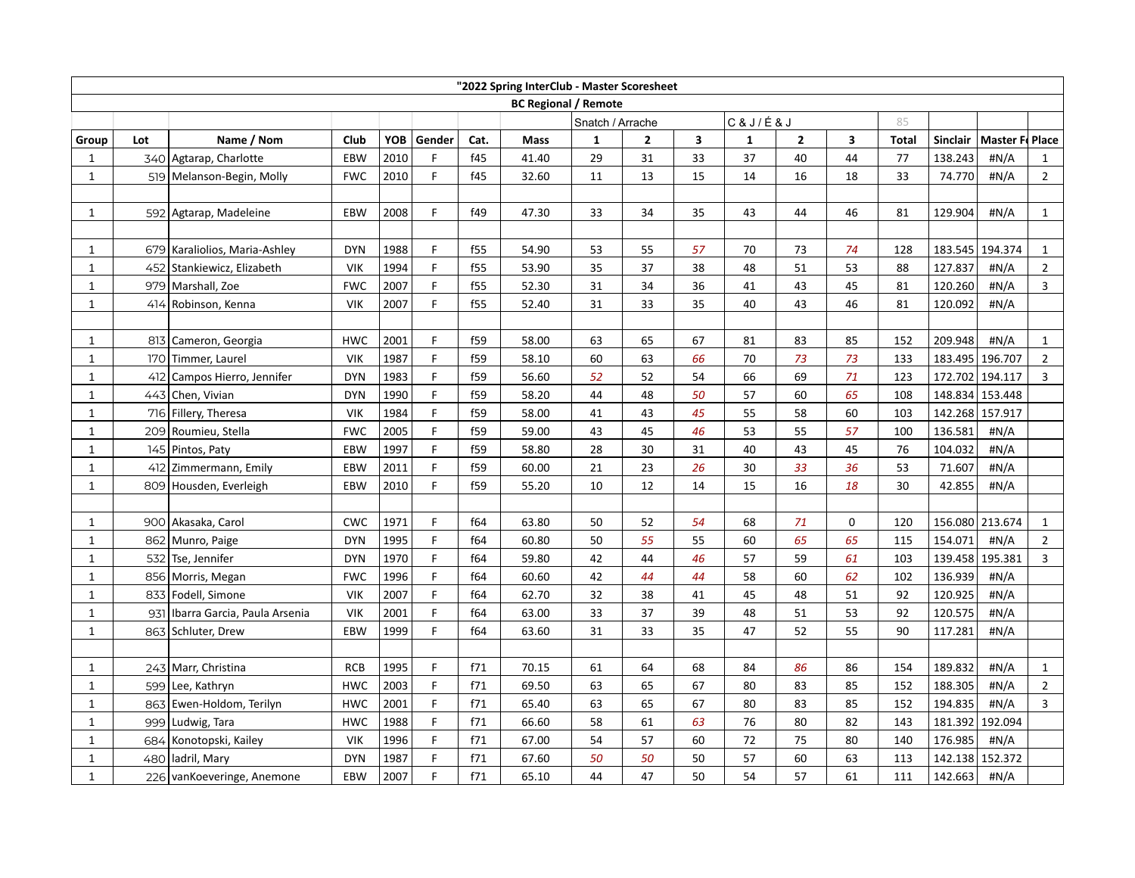| "2022 Spring InterClub - Master Scoresheet |     |                                  |            |      |        |      |       |                             |              |                         |              |               |             |              |                 |                 |                |
|--------------------------------------------|-----|----------------------------------|------------|------|--------|------|-------|-----------------------------|--------------|-------------------------|--------------|---------------|-------------|--------------|-----------------|-----------------|----------------|
|                                            |     |                                  |            |      |        |      |       | <b>BC Regional / Remote</b> |              |                         |              |               |             |              |                 |                 |                |
|                                            |     |                                  |            |      |        |      |       | Snatch / Arrache            |              |                         |              | C & J / É & J |             | 85           |                 |                 |                |
| Group                                      | Lot | Name / Nom                       | Club       | YOB  | Gender | Cat. | Mass  | 1                           | $\mathbf{2}$ | $\overline{\mathbf{3}}$ | $\mathbf{1}$ | $\mathbf{2}$  | 3           | <b>Total</b> | <b>Sinclair</b> | Master F. Place |                |
| 1                                          |     | 340 Agtarap, Charlotte           | EBW        | 2010 | F      | f45  | 41.40 | 29                          | 31           | 33                      | 37           | 40            | 44          | 77           | 138.243         | H N/A           | $\mathbf{1}$   |
| $\mathbf{1}$                               |     | 519   Melanson-Begin, Molly      | <b>FWC</b> | 2010 | F      | f45  | 32.60 | 11                          | 13           | 15                      | 14           | 16            | 18          | 33           | 74.770          | #N/A            | $\overline{2}$ |
|                                            |     |                                  |            |      |        |      |       |                             |              |                         |              |               |             |              |                 |                 |                |
| $\mathbf{1}$                               |     | 592 Agtarap, Madeleine           | EBW        | 2008 | F      | f49  | 47.30 | 33                          | 34           | 35                      | 43           | 44            | 46          | 81           | 129.904         | #N/A            | $\mathbf{1}$   |
|                                            |     |                                  |            |      |        |      |       |                             |              |                         |              |               |             |              |                 |                 |                |
| 1                                          |     | 679   Karaliolios, Maria-Ashley  | <b>DYN</b> | 1988 | F      | f55  | 54.90 | 53                          | 55           | 57                      | 70           | 73            | 74          | 128          | 183.545         | 194.374         | $\mathbf{1}$   |
| $\mathbf 1$                                |     | 452 Stankiewicz, Elizabeth       | <b>VIK</b> | 1994 | F      | f55  | 53.90 | 35                          | 37           | 38                      | 48           | 51            | 53          | 88           | 127.837         | #N/A            | $\overline{2}$ |
| $\mathbf 1$                                |     | 979 Marshall, Zoe                | <b>FWC</b> | 2007 | F      | f55  | 52.30 | 31                          | 34           | 36                      | 41           | 43            | 45          | 81           | 120.260         | #N/A            | $\overline{3}$ |
| $\mathbf 1$                                | 414 | Robinson, Kenna                  | <b>VIK</b> | 2007 | F      | f55  | 52.40 | 31                          | 33           | 35                      | 40           | 43            | 46          | 81           | 120.092         | #N/A            |                |
|                                            |     |                                  |            |      |        |      |       |                             |              |                         |              |               |             |              |                 |                 |                |
| 1                                          |     | 813 Cameron, Georgia             | <b>HWC</b> | 2001 | F      | f59  | 58.00 | 63                          | 65           | 67                      | 81           | 83            | 85          | 152          | 209.948         | #N/A            | $\mathbf{1}$   |
| $\mathbf{1}$                               |     | 170 Timmer, Laurel               | <b>VIK</b> | 1987 | F      | f59  | 58.10 | 60                          | 63           | 66                      | 70           | 73            | 73          | 133          | 183.495         | 196.707         | $\overline{2}$ |
| $\mathbf 1$                                |     | 412 Campos Hierro, Jennifer      | <b>DYN</b> | 1983 | F      | f59  | 56.60 | 52                          | 52           | 54                      | 66           | 69            | 71          | 123          |                 | 172.702 194.117 | 3              |
| $\mathbf 1$                                |     | 443 Chen, Vivian                 | <b>DYN</b> | 1990 | F      | f59  | 58.20 | 44                          | 48           | 50                      | 57           | 60            | 65          | 108          | 148.834         | 153.448         |                |
| $\mathbf{1}$                               |     | 716 Fillery, Theresa             | <b>VIK</b> | 1984 | F      | f59  | 58.00 | 41                          | 43           | 45                      | 55           | 58            | 60          | 103          | 142.268         | 157.917         |                |
| $\mathbf{1}$                               |     | 209 Roumieu, Stella              | <b>FWC</b> | 2005 | F      | f59  | 59.00 | 43                          | 45           | 46                      | 53           | 55            | 57          | 100          | 136.581         | #N/A            |                |
| $\mathbf{1}$                               |     | 145 Pintos, Paty                 | EBW        | 1997 | F      | f59  | 58.80 | 28                          | 30           | 31                      | 40           | 43            | 45          | 76           | 104.032         | #N/A            |                |
| $\mathbf 1$                                |     | 412 Zimmermann, Emily            | EBW        | 2011 | F      | f59  | 60.00 | 21                          | 23           | 26                      | 30           | 33            | 36          | 53           | 71.607          | #N/A            |                |
| $\mathbf{1}$                               | 809 | Housden, Everleigh               | EBW        | 2010 | F      | f59  | 55.20 | 10                          | 12           | 14                      | 15           | 16            | 18          | 30           | 42.855          | #N/A            |                |
|                                            |     |                                  |            |      |        |      |       |                             |              |                         |              |               |             |              |                 |                 |                |
| $\mathbf{1}$                               |     | 900 Akasaka, Carol               | <b>CWC</b> | 1971 | F      | f64  | 63.80 | 50                          | 52           | 54                      | 68           | 71            | $\mathbf 0$ | 120          |                 | 156.080 213.674 | $\mathbf{1}$   |
| $\mathbf{1}$                               |     | 862 Munro, Paige                 | <b>DYN</b> | 1995 | F      | f64  | 60.80 | 50                          | 55           | 55                      | 60           | 65            | 65          | 115          | 154.071         | #N/A            | $\overline{2}$ |
| $\mathbf 1$                                |     | 532 Tse, Jennifer                | <b>DYN</b> | 1970 | F      | f64  | 59.80 | 42                          | 44           | 46                      | 57           | 59            | 61          | 103          | 139.458         | 195.381         | $\overline{3}$ |
| $\mathbf 1$                                |     | 856 Morris, Megan                | <b>FWC</b> | 1996 | F      | f64  | 60.60 | 42                          | 44           | 44                      | 58           | 60            | 62          | 102          | 136.939         | #N/A            |                |
| $\mathbf{1}$                               |     | 833 Fodell, Simone               | <b>VIK</b> | 2007 | F      | f64  | 62.70 | 32                          | 38           | 41                      | 45           | 48            | 51          | 92           | 120.925         | #N/A            |                |
| $\mathbf 1$                                |     | 931 Ibarra Garcia, Paula Arsenia | <b>VIK</b> | 2001 | F      | f64  | 63.00 | 33                          | 37           | 39                      | 48           | 51            | 53          | 92           | 120.575         | #N/A            |                |
| $\mathbf 1$                                |     | 863 Schluter, Drew               | <b>EBW</b> | 1999 | F      | f64  | 63.60 | 31                          | 33           | 35                      | 47           | 52            | 55          | 90           | 117.281         | #N/A            |                |
|                                            |     |                                  |            |      |        |      |       |                             |              |                         |              |               |             |              |                 |                 |                |
| 1                                          |     | 243 Marr, Christina              | <b>RCB</b> | 1995 | F      | f71  | 70.15 | 61                          | 64           | 68                      | 84           | 86            | 86          | 154          | 189.832         | #N/A            | $\mathbf{1}$   |
| $\mathbf 1$                                |     | 599 Lee, Kathryn                 | <b>HWC</b> | 2003 | F      | f71  | 69.50 | 63                          | 65           | 67                      | 80           | 83            | 85          | 152          | 188.305         | #N/A            | $\overline{2}$ |
| $\mathbf{1}$                               | 863 | Ewen-Holdom, Terilyn             | <b>HWC</b> | 2001 | F      | f71  | 65.40 | 63                          | 65           | 67                      | 80           | 83            | 85          | 152          | 194.835         | #N/A            | $\overline{3}$ |
| $\mathbf 1$                                |     | 999 Ludwig, Tara                 | <b>HWC</b> | 1988 | F.     | f71  | 66.60 | 58                          | 61           | 63                      | 76           | 80            | 82          | 143          | 181.392         | 192.094         |                |
| $\mathbf{1}$                               | 684 | Konotopski, Kailey               | <b>VIK</b> | 1996 | F      | f71  | 67.00 | 54                          | 57           | 60                      | 72           | 75            | 80          | 140          | 176.985         | #N/A            |                |
| $\mathbf{1}$                               |     | 480   ladril, Mary               | <b>DYN</b> | 1987 | F      | f71  | 67.60 | 50                          | 50           | 50                      | 57           | 60            | 63          | 113          | 142.138         | 152.372         |                |
| $\mathbf 1$                                |     | 226 vanKoeveringe, Anemone       | EBW        | 2007 | F      | f71  | 65.10 | 44                          | 47           | 50                      | 54           | 57            | 61          | 111          | 142.663         | #N/A            |                |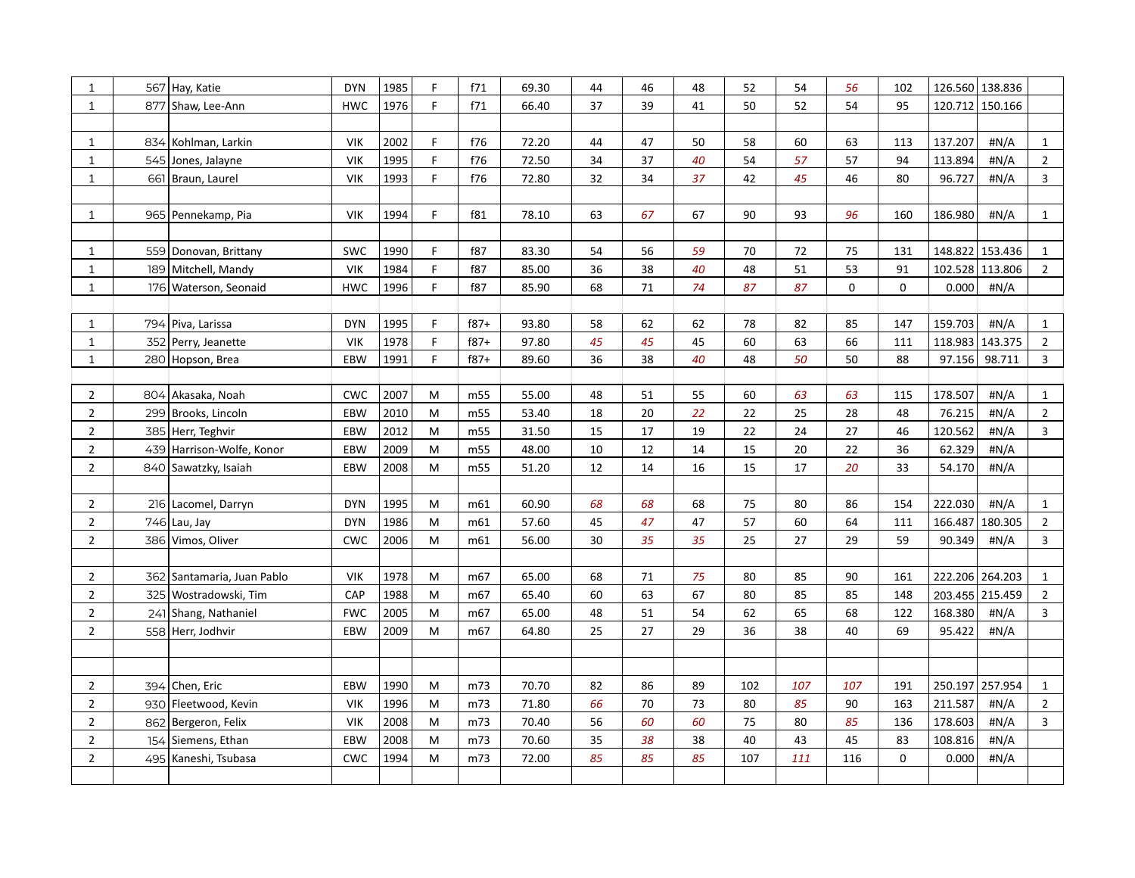| $\mathbf{1}$   |     | 567 Hay, Katie             | <b>DYN</b> | 1985 | F. | f71             | 69.30 | 44 | 46 | 48 | 52  | 54  | 56  | 102         |         | 126.560 138.836 |                |
|----------------|-----|----------------------------|------------|------|----|-----------------|-------|----|----|----|-----|-----|-----|-------------|---------|-----------------|----------------|
| $\mathbf{1}$   |     | 877 Shaw, Lee-Ann          | <b>HWC</b> | 1976 | E  | f71             | 66.40 | 37 | 39 | 41 | 50  | 52  | 54  | 95          |         | 120.712 150.166 |                |
|                |     |                            |            |      |    |                 |       |    |    |    |     |     |     |             |         |                 |                |
| 1              |     | 834 Kohlman, Larkin        | <b>VIK</b> | 2002 | F  | f76             | 72.20 | 44 | 47 | 50 | 58  | 60  | 63  | 113         | 137.207 | #N/A            | $\mathbf{1}$   |
| $\mathbf 1$    |     | 545 Jones, Jalayne         | <b>VIK</b> | 1995 | F  | f76             | 72.50 | 34 | 37 | 40 | 54  | 57  | 57  | 94          | 113.894 | #N/A            | $\overline{2}$ |
| $\mathbf 1$    |     | 661 Braun, Laurel          | <b>VIK</b> | 1993 | F  | f76             | 72.80 | 32 | 34 | 37 | 42  | 45  | 46  | 80          | 96.727  | #N/A            | 3              |
|                |     |                            |            |      |    |                 |       |    |    |    |     |     |     |             |         |                 |                |
| $\mathbf{1}$   |     | 965 Pennekamp, Pia         | <b>VIK</b> | 1994 | F. | f81             | 78.10 | 63 | 67 | 67 | 90  | 93  | 96  | 160         | 186.980 | #N/A            | $\mathbf{1}$   |
|                |     |                            |            |      |    |                 |       |    |    |    |     |     |     |             |         |                 |                |
| 1              |     | 559 Donovan, Brittany      | <b>SWC</b> | 1990 | F  | f87             | 83.30 | 54 | 56 | 59 | 70  | 72  | 75  | 131         |         | 148.822 153.436 | $\mathbf{1}$   |
| $\mathbf 1$    |     | 189 Mitchell, Mandy        | <b>VIK</b> | 1984 | F  | f87             | 85.00 | 36 | 38 | 40 | 48  | 51  | 53  | 91          |         | 102.528 113.806 | $\overline{2}$ |
| $\mathbf 1$    |     | 176 Waterson, Seonaid      | <b>HWC</b> | 1996 | F  | f87             | 85.90 | 68 | 71 | 74 | 87  | 87  | 0   | $\mathbf 0$ | 0.000   | #N/A            |                |
|                |     |                            |            |      |    |                 |       |    |    |    |     |     |     |             |         |                 |                |
| $\mathbf{1}$   |     | 794 Piva, Larissa          | <b>DYN</b> | 1995 | F. | $f87+$          | 93.80 | 58 | 62 | 62 | 78  | 82  | 85  | 147         | 159.703 | #N/A            | $\mathbf{1}$   |
| $\mathbf{1}$   |     | 352 Perry, Jeanette        | <b>VIK</b> | 1978 | F  | $f87+$          | 97.80 | 45 | 45 | 45 | 60  | 63  | 66  | 111         |         | 118.983 143.375 | $\overline{2}$ |
| $\mathbf 1$    |     | 280 Hopson, Brea           | EBW        | 1991 | F  | $f87+$          | 89.60 | 36 | 38 | 40 | 48  | 50  | 50  | 88          | 97.156  | 98.711          | 3              |
|                |     |                            |            |      |    |                 |       |    |    |    |     |     |     |             |         |                 |                |
| $\overline{2}$ |     | 804 Akasaka, Noah          | <b>CWC</b> | 2007 | M  | m55             | 55.00 | 48 | 51 | 55 | 60  | 63  | 63  | 115         | 178.507 | #N/A            | $\mathbf{1}$   |
| $\overline{2}$ |     | 299 Brooks, Lincoln        | EBW        | 2010 | M  | m55             | 53.40 | 18 | 20 | 22 | 22  | 25  | 28  | 48          | 76.215  | #N/A            | $\overline{2}$ |
| $\overline{2}$ |     | 385 Herr, Teghvir          | EBW        | 2012 | M  | m55             | 31.50 | 15 | 17 | 19 | 22  | 24  | 27  | 46          | 120.562 | #N/A            | 3              |
| $\mathbf 2$    |     | 439 Harrison-Wolfe, Konor  | EBW        | 2009 | M  | m55             | 48.00 | 10 | 12 | 14 | 15  | 20  | 22  | 36          | 62.329  | #N/A            |                |
| $\mathbf 2$    |     | 840 Sawatzky, Isaiah       | EBW        | 2008 | M  | m55             | 51.20 | 12 | 14 | 16 | 15  | 17  | 20  | 33          | 54.170  | #N/A            |                |
|                |     |                            |            |      |    |                 |       |    |    |    |     |     |     |             |         |                 |                |
| $\overline{2}$ |     | 216 Lacomel, Darryn        | <b>DYN</b> | 1995 | M  | m61             | 60.90 | 68 | 68 | 68 | 75  | 80  | 86  | 154         | 222.030 | #N/A            | $\mathbf{1}$   |
| $\mathbf 2$    |     | $746$ Lau, Jay             | <b>DYN</b> | 1986 | M  | m61             | 57.60 | 45 | 47 | 47 | 57  | 60  | 64  | 111         | 166.487 | 180.305         | $\overline{2}$ |
| $\overline{2}$ |     | 386 Vimos, Oliver          | <b>CWC</b> | 2006 | M  | m61             | 56.00 | 30 | 35 | 35 | 25  | 27  | 29  | 59          | 90.349  | #N/A            | 3              |
|                |     |                            |            |      |    |                 |       |    |    |    |     |     |     |             |         |                 |                |
| $\overline{2}$ |     | 362 Santamaria, Juan Pablo | <b>VIK</b> | 1978 | M  | m <sub>67</sub> | 65.00 | 68 | 71 | 75 | 80  | 85  | 90  | 161         |         | 222.206 264.203 | $\mathbf{1}$   |
| $\overline{2}$ |     | 325 Wostradowski, Tim      | CAP        | 1988 | M  | m67             | 65.40 | 60 | 63 | 67 | 80  | 85  | 85  | 148         |         | 203.455 215.459 | $\overline{2}$ |
| $\mathbf 2$    |     | 241 Shang, Nathaniel       | <b>FWC</b> | 2005 | M  | m67             | 65.00 | 48 | 51 | 54 | 62  | 65  | 68  | 122         | 168.380 | #N/A            | 3              |
| $\overline{2}$ |     | 558 Herr, Jodhvir          | EBW        | 2009 | M  | m67             | 64.80 | 25 | 27 | 29 | 36  | 38  | 40  | 69          | 95.422  | #N/A            |                |
|                |     |                            |            |      |    |                 |       |    |    |    |     |     |     |             |         |                 |                |
|                |     |                            |            |      |    |                 |       |    |    |    |     |     |     |             |         |                 |                |
| $\overline{2}$ | 394 | Chen, Eric                 | EBW        | 1990 | M  | m73             | 70.70 | 82 | 86 | 89 | 102 | 107 | 107 | 191         | 250.197 | 257.954         | $\mathbf{1}$   |
| $\overline{2}$ |     | 930 Fleetwood, Kevin       | <b>VIK</b> | 1996 | M  | m73             | 71.80 | 66 | 70 | 73 | 80  | 85  | 90  | 163         | 211.587 | #N/A            | $\overline{2}$ |
| $\overline{2}$ |     | 862 Bergeron, Felix        | <b>VIK</b> | 2008 | M  | m73             | 70.40 | 56 | 60 | 60 | 75  | 80  | 85  | 136         | 178.603 | #N/A            | 3              |
| $\mathbf 2$    |     | 154 Siemens, Ethan         | EBW        | 2008 | M  | m73             | 70.60 | 35 | 38 | 38 | 40  | 43  | 45  | 83          | 108.816 | #N/A            |                |
| $\overline{2}$ |     | 495 Kaneshi, Tsubasa       | <b>CWC</b> | 1994 | M  | m73             | 72.00 | 85 | 85 | 85 | 107 | 111 | 116 | $\mathbf 0$ | 0.000   | #N/A            |                |
|                |     |                            |            |      |    |                 |       |    |    |    |     |     |     |             |         |                 |                |